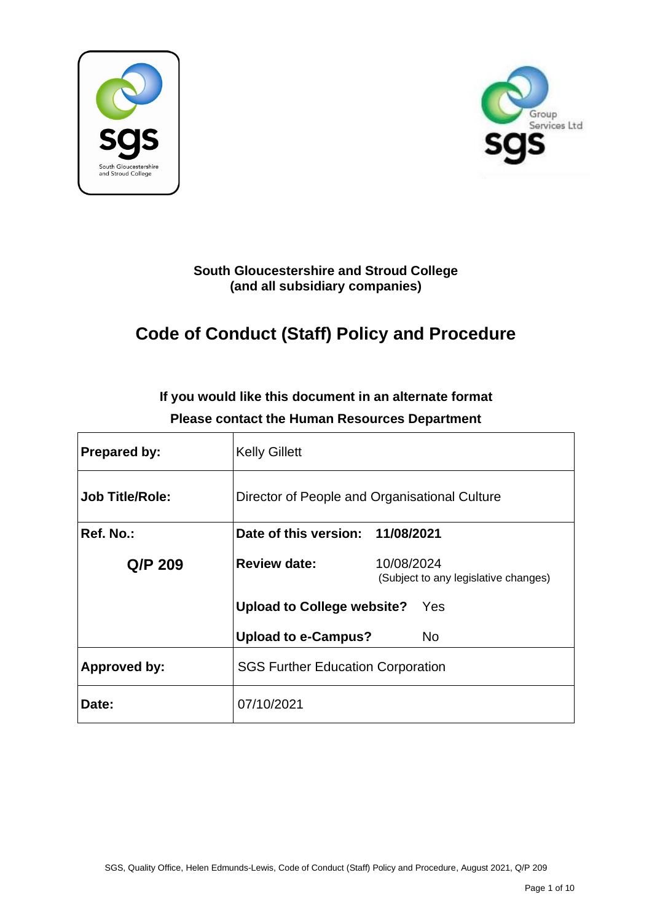



## **South Gloucestershire and Stroud College (and all subsidiary companies)**

# **Code of Conduct (Staff) Policy and Procedure**

| <b>Prepared by:</b>    | <b>Kelly Gillett</b>                          |                                                    |
|------------------------|-----------------------------------------------|----------------------------------------------------|
| <b>Job Title/Role:</b> | Director of People and Organisational Culture |                                                    |
| Ref. No.:              | Date of this version: 11/08/2021              |                                                    |
| Q/P 209                | <b>Review date:</b>                           | 10/08/2024<br>(Subject to any legislative changes) |
|                        | <b>Upload to College website?</b>             | Yes                                                |
|                        | <b>Upload to e-Campus?</b>                    | <b>No</b>                                          |
| <b>Approved by:</b>    | <b>SGS Further Education Corporation</b>      |                                                    |
| Date:                  | 07/10/2021                                    |                                                    |

## **If you would like this document in an alternate format Please contact the Human Resources Department**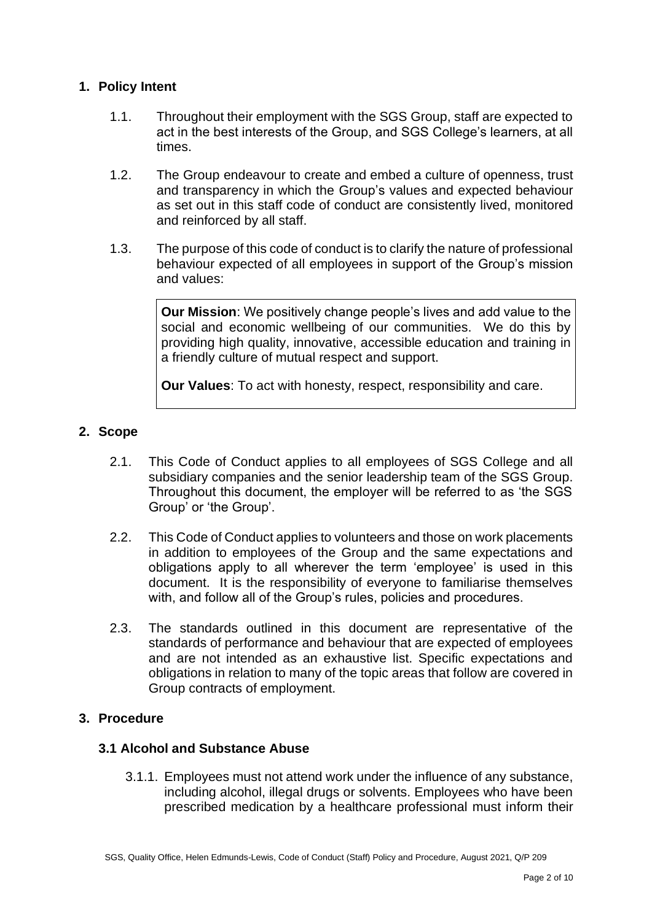## **1. Policy Intent**

- 1.1. Throughout their employment with the SGS Group, staff are expected to act in the best interests of the Group, and SGS College's learners, at all times.
- 1.2. The Group endeavour to create and embed a culture of openness, trust and transparency in which the Group's values and expected behaviour as set out in this staff code of conduct are consistently lived, monitored and reinforced by all staff.
- 1.3. The purpose of this code of conduct is to clarify the nature of professional behaviour expected of all employees in support of the Group's mission and values:

**Our Mission**: We positively change people's lives and add value to the social and economic wellbeing of our communities. We do this by providing high quality, innovative, accessible education and training in a friendly culture of mutual respect and support.

**Our Values**: To act with honesty, respect, responsibility and care.

## **2. Scope**

- 2.1. This Code of Conduct applies to all employees of SGS College and all subsidiary companies and the senior leadership team of the SGS Group. Throughout this document, the employer will be referred to as 'the SGS Group' or 'the Group'.
- 2.2. This Code of Conduct applies to volunteers and those on work placements in addition to employees of the Group and the same expectations and obligations apply to all wherever the term 'employee' is used in this document. It is the responsibility of everyone to familiarise themselves with, and follow all of the Group's rules, policies and procedures.
- 2.3. The standards outlined in this document are representative of the standards of performance and behaviour that are expected of employees and are not intended as an exhaustive list. Specific expectations and obligations in relation to many of the topic areas that follow are covered in Group contracts of employment.

## **3. Procedure**

## **3.1 Alcohol and Substance Abuse**

3.1.1. Employees must not attend work under the influence of any substance, including alcohol, illegal drugs or solvents. Employees who have been prescribed medication by a healthcare professional must inform their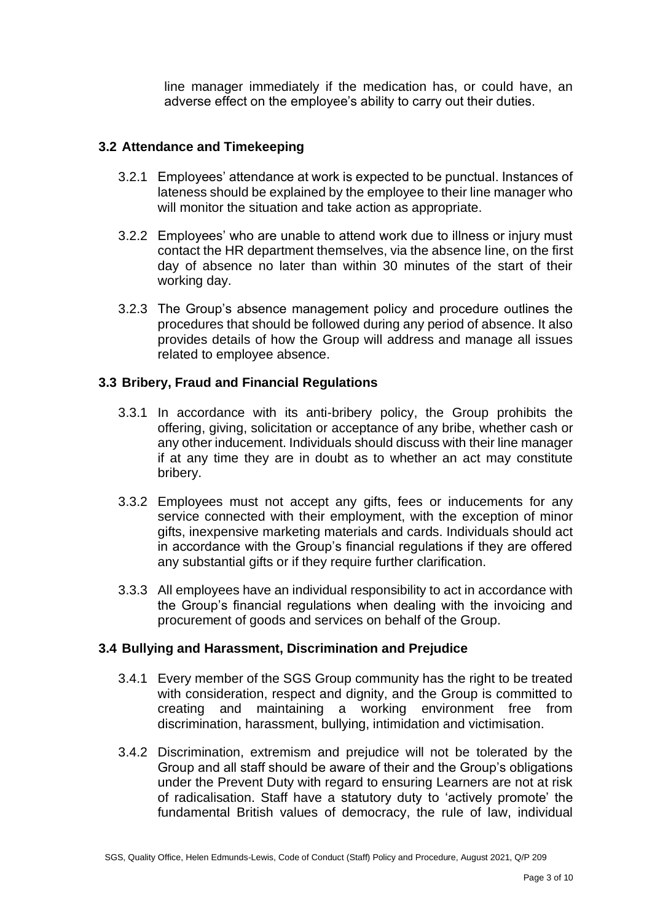line manager immediately if the medication has, or could have, an adverse effect on the employee's ability to carry out their duties.

#### **3.2 Attendance and Timekeeping**

- 3.2.1 Employees' attendance at work is expected to be punctual. Instances of lateness should be explained by the employee to their line manager who will monitor the situation and take action as appropriate.
- 3.2.2 Employees' who are unable to attend work due to illness or injury must contact the HR department themselves, via the absence line, on the first day of absence no later than within 30 minutes of the start of their working day.
- 3.2.3 The Group's absence management policy and procedure outlines the procedures that should be followed during any period of absence. It also provides details of how the Group will address and manage all issues related to employee absence.

#### **3.3 Bribery, Fraud and Financial Regulations**

- 3.3.1 In accordance with its anti-bribery policy, the Group prohibits the offering, giving, solicitation or acceptance of any bribe, whether cash or any other inducement. Individuals should discuss with their line manager if at any time they are in doubt as to whether an act may constitute bribery.
- 3.3.2 Employees must not accept any gifts, fees or inducements for any service connected with their employment, with the exception of minor gifts, inexpensive marketing materials and cards. Individuals should act in accordance with the Group's financial regulations if they are offered any substantial gifts or if they require further clarification.
- 3.3.3 All employees have an individual responsibility to act in accordance with the Group's financial regulations when dealing with the invoicing and procurement of goods and services on behalf of the Group.

#### **3.4 Bullying and Harassment, Discrimination and Prejudice**

- 3.4.1 Every member of the SGS Group community has the right to be treated with consideration, respect and dignity, and the Group is committed to creating and maintaining a working environment free from discrimination, harassment, bullying, intimidation and victimisation.
- 3.4.2 Discrimination, extremism and prejudice will not be tolerated by the Group and all staff should be aware of their and the Group's obligations under the Prevent Duty with regard to ensuring Learners are not at risk of radicalisation. Staff have a statutory duty to 'actively promote' the fundamental British values of democracy, the rule of law, individual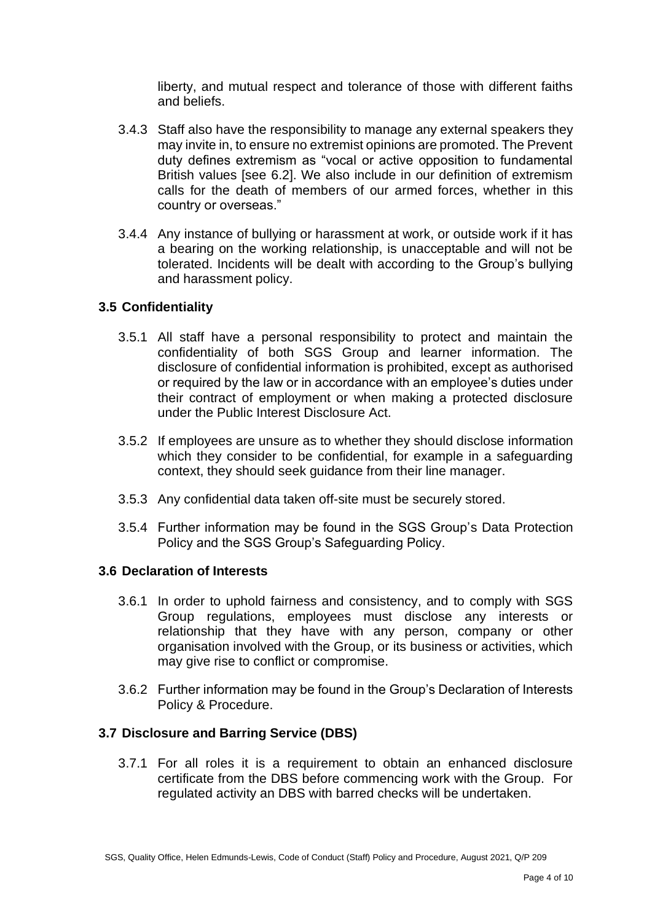liberty, and mutual respect and tolerance of those with different faiths and beliefs.

- 3.4.3 Staff also have the responsibility to manage any external speakers they may invite in, to ensure no extremist opinions are promoted. The Prevent duty defines extremism as "vocal or active opposition to fundamental British values [see 6.2]. We also include in our definition of extremism calls for the death of members of our armed forces, whether in this country or overseas."
- 3.4.4 Any instance of bullying or harassment at work, or outside work if it has a bearing on the working relationship, is unacceptable and will not be tolerated. Incidents will be dealt with according to the Group's bullying and harassment policy.

## **3.5 Confidentiality**

- 3.5.1 All staff have a personal responsibility to protect and maintain the confidentiality of both SGS Group and learner information. The disclosure of confidential information is prohibited, except as authorised or required by the law or in accordance with an employee's duties under their contract of employment or when making a protected disclosure under the Public Interest Disclosure Act.
- 3.5.2 If employees are unsure as to whether they should disclose information which they consider to be confidential, for example in a safeguarding context, they should seek guidance from their line manager.
- 3.5.3 Any confidential data taken off-site must be securely stored.
- 3.5.4 Further information may be found in the SGS Group's Data Protection Policy and the SGS Group's Safeguarding Policy.

## **3.6 Declaration of Interests**

- 3.6.1 In order to uphold fairness and consistency, and to comply with SGS Group regulations, employees must disclose any interests or relationship that they have with any person, company or other organisation involved with the Group, or its business or activities, which may give rise to conflict or compromise.
- 3.6.2 Further information may be found in the Group's Declaration of Interests Policy & Procedure.

## **3.7 Disclosure and Barring Service (DBS)**

3.7.1 For all roles it is a requirement to obtain an enhanced disclosure certificate from the DBS before commencing work with the Group. For regulated activity an DBS with barred checks will be undertaken.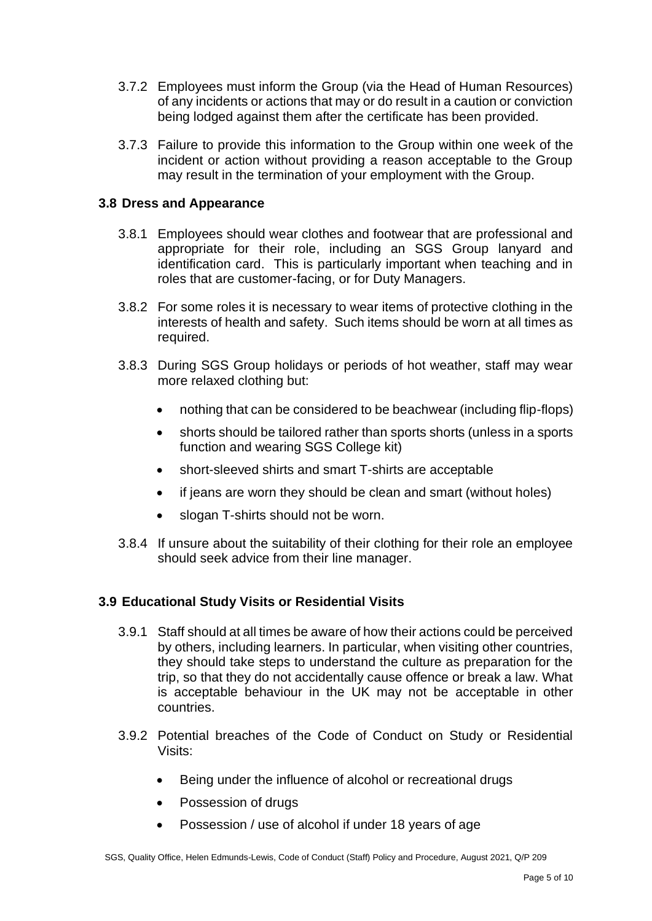- 3.7.2 Employees must inform the Group (via the Head of Human Resources) of any incidents or actions that may or do result in a caution or conviction being lodged against them after the certificate has been provided.
- 3.7.3 Failure to provide this information to the Group within one week of the incident or action without providing a reason acceptable to the Group may result in the termination of your employment with the Group.

## **3.8 Dress and Appearance**

- 3.8.1 Employees should wear clothes and footwear that are professional and appropriate for their role, including an SGS Group lanyard and identification card. This is particularly important when teaching and in roles that are customer-facing, or for Duty Managers.
- 3.8.2 For some roles it is necessary to wear items of protective clothing in the interests of health and safety. Such items should be worn at all times as required.
- 3.8.3 During SGS Group holidays or periods of hot weather, staff may wear more relaxed clothing but:
	- nothing that can be considered to be beachwear (including flip-flops)
	- shorts should be tailored rather than sports shorts (unless in a sports function and wearing SGS College kit)
	- short-sleeved shirts and smart T-shirts are acceptable
	- if jeans are worn they should be clean and smart (without holes)
	- slogan T-shirts should not be worn.
- 3.8.4 If unsure about the suitability of their clothing for their role an employee should seek advice from their line manager.

## **3.9 Educational Study Visits or Residential Visits**

- 3.9.1 Staff should at all times be aware of how their actions could be perceived by others, including learners. In particular, when visiting other countries, they should take steps to understand the culture as preparation for the trip, so that they do not accidentally cause offence or break a law. What is acceptable behaviour in the UK may not be acceptable in other countries.
- 3.9.2 Potential breaches of the Code of Conduct on Study or Residential Visits:
	- Being under the influence of alcohol or recreational drugs
	- Possession of drugs
	- Possession / use of alcohol if under 18 years of age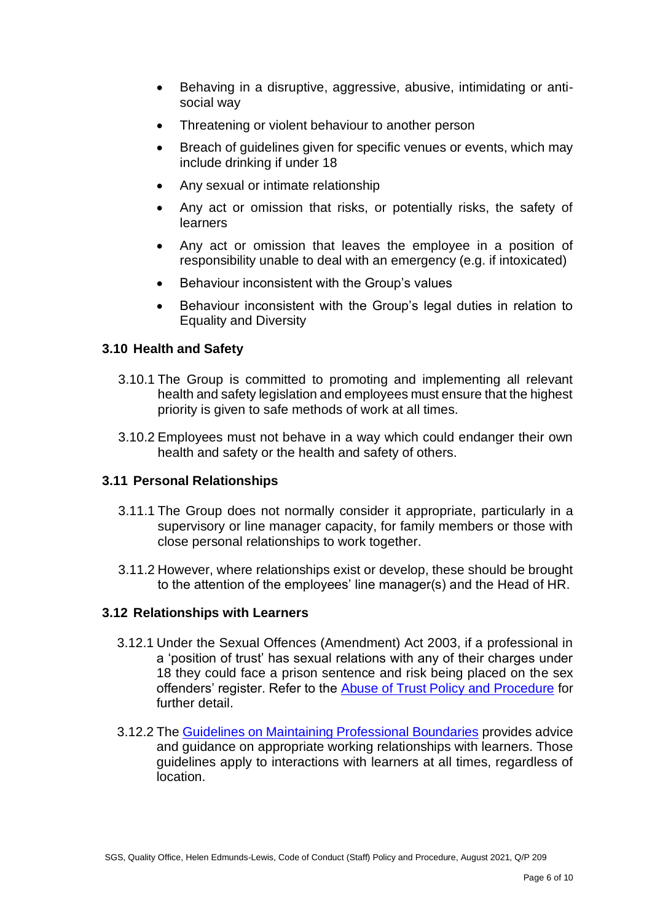- Behaving in a disruptive, aggressive, abusive, intimidating or antisocial way
- Threatening or violent behaviour to another person
- Breach of quidelines given for specific venues or events, which may include drinking if under 18
- Any sexual or intimate relationship
- Any act or omission that risks, or potentially risks, the safety of learners
- Any act or omission that leaves the employee in a position of responsibility unable to deal with an emergency (e.g. if intoxicated)
- Behaviour inconsistent with the Group's values
- Behaviour inconsistent with the Group's legal duties in relation to Equality and Diversity

## **3.10 Health and Safety**

- 3.10.1 The Group is committed to promoting and implementing all relevant health and safety legislation and employees must ensure that the highest priority is given to safe methods of work at all times.
- 3.10.2 Employees must not behave in a way which could endanger their own health and safety or the health and safety of others.

## **3.11 Personal Relationships**

- 3.11.1 The Group does not normally consider it appropriate, particularly in a supervisory or line manager capacity, for family members or those with close personal relationships to work together.
- 3.11.2 However, where relationships exist or develop, these should be brought to the attention of the employees' line manager(s) and the Head of HR.

## **3.12 Relationships with Learners**

- 3.12.1 Under the Sexual Offences (Amendment) Act 2003, if a professional in a 'position of trust' has sexual relations with any of their charges under 18 they could face a prison sentence and risk being placed on the sex offenders' register. Refer to the [Abuse of Trust Policy and Procedure](http://staff.sgscol.ac.uk/cc/qual/Staff/Human%20Resources/Abuse%20of%20Trust%20Policy%20and%20Procedure.docx) for further detail.
- 3.12.2 The [Guidelines on Maintaining Professional Boundaries](http://staff.sgscol.ac.uk/cc/qual/Staff/Human%20Resources/Guidelines%20on%20Maintaining%20Professional%20Boundaries%20(including%20Use%20of%20Social%20Media).docx) provides advice and guidance on appropriate working relationships with learners. Those guidelines apply to interactions with learners at all times, regardless of location.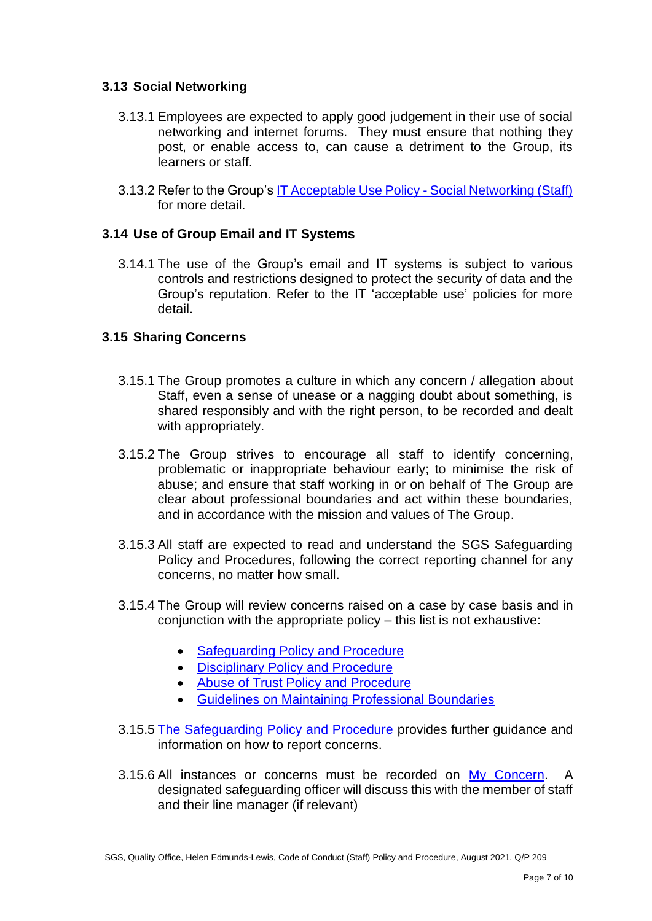## **3.13 Social Networking**

- 3.13.1 Employees are expected to apply good judgement in their use of social networking and internet forums. They must ensure that nothing they post, or enable access to, can cause a detriment to the Group, its learners or staff.
- 3.13.2 Refer to the Group's [IT Acceptable Use Policy -](http://staff.sgscol.ac.uk/cc/qual/Staff/IT%20Services/IT%20Acceptable%20Use%20Policy%20-%20Social%20Networking%20(Staff).docx) Social Networking (Staff) for more detail.

## **3.14 Use of Group Email and IT Systems**

3.14.1 The use of the Group's email and IT systems is subject to various controls and restrictions designed to protect the security of data and the Group's reputation. Refer to the IT 'acceptable use' policies for more detail.

## **3.15 Sharing Concerns**

- 3.15.1 The Group promotes a culture in which any concern / allegation about Staff, even a sense of unease or a nagging doubt about something, is shared responsibly and with the right person, to be recorded and dealt with appropriately.
- 3.15.2 The Group strives to encourage all staff to identify concerning, problematic or inappropriate behaviour early; to minimise the risk of abuse; and ensure that staff working in or on behalf of The Group are clear about professional boundaries and act within these boundaries, and in accordance with the mission and values of The Group.
- 3.15.3 All staff are expected to read and understand the SGS Safeguarding Policy and Procedures, following the correct reporting channel for any concerns, no matter how small.
- 3.15.4 The Group will review concerns raised on a case by case basis and in conjunction with the appropriate policy – this list is not exhaustive:
	- [Safeguarding Policy and Procedure](https://sgscol.sharepoint.com/:w:/r/sites/staff/DataHub/_layouts/15/Doc.aspx?sourcedoc=%7BDABBBCD8-96CC-43D7-A65B-F828E224FDAD%7D&file=Safeguarding%20Children%2C%20Young%20People%20and%20Vulnerable%20Adults%20Policy%20and%20Procedure.docx&action=default&mobileredirect=true)
	- [Disciplinary Policy and Procedure](https://sgscol.sharepoint.com/:w:/r/sites/staff/DataHub/_layouts/15/Doc.aspx?sourcedoc=%7B2CE5B604-2042-470D-ADFB-F67A39E832D7%7D&file=Disciplinary%20(Staff)%20(including%20Senior%20Post%20Holders).docx&action=default&mobileredirect=true)
	- [Abuse of Trust Policy and Procedure](https://sgscol.sharepoint.com/sites/staff/DataHub/Official%20Documents%20in%20SGS/Forms/PoliciesandProcedures.aspx?id=%2Fsites%2Fstaff%2FDataHub%2FOfficial%20Documents%20in%20SGS%2FAbuse%20of%20Trust%20Policy%20and%20Procedure%2Epdf&parent=%2Fsites%2Fstaff%2FDataHub%2FOfficial%20Documents%20in%20SGS)
	- [Guidelines on Maintaining Professional Boundaries](https://sgscol.sharepoint.com/sites/staff/DataHub/Official%20Documents%20in%20SGS/Forms/PoliciesandProcedures.aspx?id=%2Fsites%2Fstaff%2FDataHub%2FOfficial%20Documents%20in%20SGS%2FGuidelines%20on%20Maintaining%20Professional%20Boundaries%20%28including%20Use%20of%20Social%20Media%29%2Epdf&parent=%2Fsites%2Fstaff%2FDataHub%2FOfficial%20Documents%20in%20SGS)
- 3.15.5 [The Safeguarding Policy and Procedure](https://sgscol.sharepoint.com/:w:/r/sites/staff/DataHub/_layouts/15/Doc.aspx?sourcedoc=%7BDABBBCD8-96CC-43D7-A65B-F828E224FDAD%7D&file=Safeguarding%20Children%2C%20Young%20People%20and%20Vulnerable%20Adults%20Policy%20and%20Procedure.docx&action=default&mobileredirect=true) provides further guidance and information on how to report concerns.
- 3.15.6 All instances or concerns must be recorded on [My Concern.](https://www.myconcern.education/Account/Login?ReturnUrl=%2f) A designated safeguarding officer will discuss this with the member of staff and their line manager (if relevant)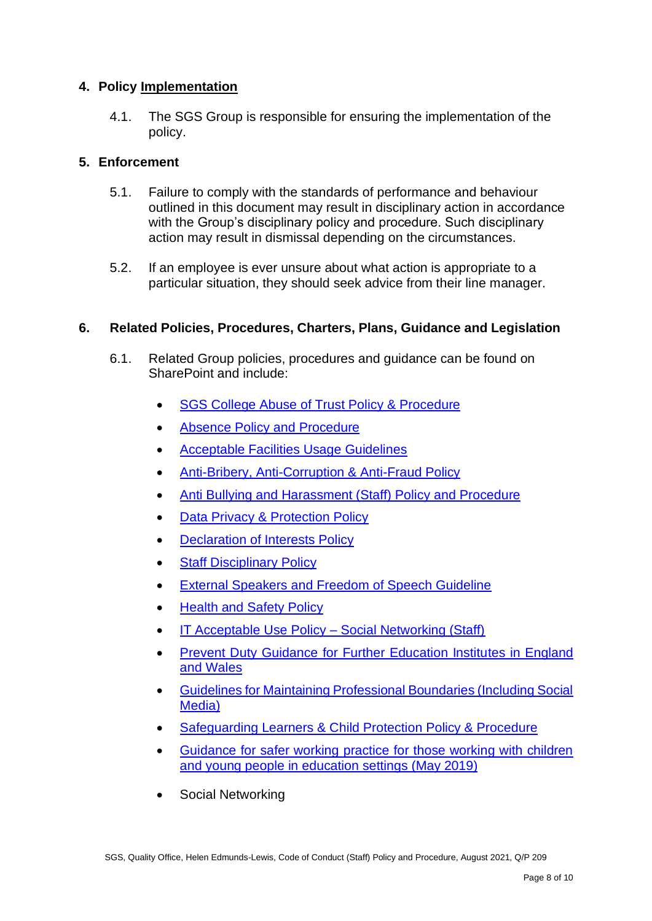## **4. Policy Implementation**

4.1. The SGS Group is responsible for ensuring the implementation of the policy.

## **5. Enforcement**

- 5.1. Failure to comply with the standards of performance and behaviour outlined in this document may result in disciplinary action in accordance with the Group's disciplinary policy and procedure. Such disciplinary action may result in dismissal depending on the circumstances.
- 5.2. If an employee is ever unsure about what action is appropriate to a particular situation, they should seek advice from their line manager.

## **6. Related Policies, Procedures, Charters, Plans, Guidance and Legislation**

- 6.1. Related Group policies, procedures and guidance can be found on SharePoint and include:
	- **[SGS College Abuse of Trust Policy & Procedure](https://sgscol.sharepoint.com/:b:/s/staff/DataHub/EZJZs9D1h8dIogYOiN35K4EB6wSLvaPePt-pA--A9mMO8Q?e=p2DuXY)**
	- [Absence Policy and Procedure](https://sgscol.sharepoint.com/:w:/r/sites/staff/DataHub/Official%20Documents%20in%20SGS/Absence%20Policy%20and%20Procedure.docx?d=wd5744a5ad1684cbbad6c6cdf713dd00c&csf=1&web=1&e=010Wai)
	- [Acceptable Facilities Usage Guidelines](https://sgscol.sharepoint.com/:w:/r/sites/staff/DataHub/Official%20Documents%20in%20SGS/Acceptable%20Facilities%20Usage%20Guidelines.docx?d=wda7998f48dfc4450b3c64c545924af7e&csf=1&web=1&e=LJZpVV)
	- [Anti-Bribery, Anti-Corruption & Anti-Fraud Policy](https://sgscol.sharepoint.com/:w:/r/sites/staff/DataHub/Official%20Documents%20in%20SGS/Anti-Bribery,%20Anti-Corruption%20and%20Anti-Fraud%20Policy.docx?d=weee762291e4c42029c80c9cc9d40e2a9&csf=1&web=1&e=BRiEow)
	- [Anti Bullying and Harassment \(Staff\) Policy and Procedure](https://sgscol.sharepoint.com/:w:/r/sites/staff/DataHub/Official%20Documents%20in%20SGS/Anti%20Bullying%20and%20Harassment%20(staff)%20Policy%20and%20Procedure.docx?d=wf0199fdc9b524665a6cc013463a368cd&csf=1&web=1&e=iZoMqY)
	- [Data Privacy & Protection Policy](https://sgscol.sharepoint.com/:w:/r/sites/staff/DataHub/Official%20Documents%20in%20SGS/Declaration%20of%20Interest%20policy.docx?d=w2167661694a94599b3fc08e42c236adf&csf=1&web=1&e=3Zer2G)
	- **[Declaration of Interests Policy](https://sgscol.sharepoint.com/:w:/r/sites/staff/DataHub/Official%20Documents%20in%20SGS/Declaration%20of%20Interest%20policy.docx?d=w2167661694a94599b3fc08e42c236adf&csf=1&web=1&e=RcvugN)**
	- [Staff Disciplinary Policy](https://sgscol.sharepoint.com/:w:/r/sites/staff/DataHub/_layouts/15/Doc.aspx?sourcedoc=%7B2CE5B604-2042-470D-ADFB-F67A39E832D7%7D&file=Disciplinary%20(Staff)%20(including%20Senior%20Post%20Holders).docx&action=default&mobileredirect=true)
	- External Speakers [and Freedom of Speech Guideline](https://sgscol.sharepoint.com/:w:/r/sites/staff/DataHub/Official%20Documents%20in%20SGS/External%20Speakers%20and%20Freedom%20of%20Speech.docx?d=wfd05bdbe76d1481fa2a2483d0e1d4c17&csf=1&web=1&e=YR0PtX)
	- Health and [Safety Policy](https://sgscol.sharepoint.com/:w:/r/sites/staff/DataHub/Official%20Documents%20in%20SGS/Health%20and%20Safety%20Policy%20and%20Manual.docx?d=wb28be88ac7c747ddac439af6f049e8cc&csf=1&web=1&e=T3YWji)
	- [IT Acceptable Use Policy –](https://sgscol.sharepoint.com/:w:/r/sites/staff/DataHub/Official%20Documents%20in%20SGS/IT%20Acceptable%20Use%20Policy%20-%20Social%20Networking%20(Staff).docx?d=we0f4efe89f8b4272ad0b6f588948aa5b&csf=1&web=1&e=gGMg42) Social Networking (Staff)
	- [Prevent Duty Guidance for Further Education Institutes in England](https://www.gov.uk/government/publications/prevent-duty-guidance/prevent-duty-guidance-for-further-education-institutions-in-england-and-wales)  [and Wales](https://www.gov.uk/government/publications/prevent-duty-guidance/prevent-duty-guidance-for-further-education-institutions-in-england-and-wales)
	- [Guidelines for Maintaining Professional Boundaries \(Including Social](https://sgscol.sharepoint.com/:w:/r/sites/staff/DataHub/_layouts/15/Doc.aspx?sourcedoc=%7B0C8C45B8-E462-46AB-AB19-0F8360DB9B25%7D&file=Guidelines%20on%20Maintaining%20Professional%20Boundaries%20(including%20Use%20of%20Social%20Media).docx&action=default&mobileredirect=true)  [Media\)](https://sgscol.sharepoint.com/:w:/r/sites/staff/DataHub/_layouts/15/Doc.aspx?sourcedoc=%7B0C8C45B8-E462-46AB-AB19-0F8360DB9B25%7D&file=Guidelines%20on%20Maintaining%20Professional%20Boundaries%20(including%20Use%20of%20Social%20Media).docx&action=default&mobileredirect=true)
	- [Safeguarding Learners & Child Protection Policy & Procedure](https://sgscol.sharepoint.com/:w:/s/staff/DataHub/Ef8s_WHEamBAhJv0U0ZYNwIBbsttvjjc5fkFzYdY4qDikQ?e=fv55Ae)
	- [Guidance for safer working practice for those working with children](https://c-cluster-110.uploads.documents.cimpress.io/v1/uploads/13ecce28-e8f2-49e9-83c6-c29337cd8071~110/original?tenant=vbu-digital)  [and young people in education settings \(May 2019\)](https://c-cluster-110.uploads.documents.cimpress.io/v1/uploads/13ecce28-e8f2-49e9-83c6-c29337cd8071~110/original?tenant=vbu-digital)
	- Social Networking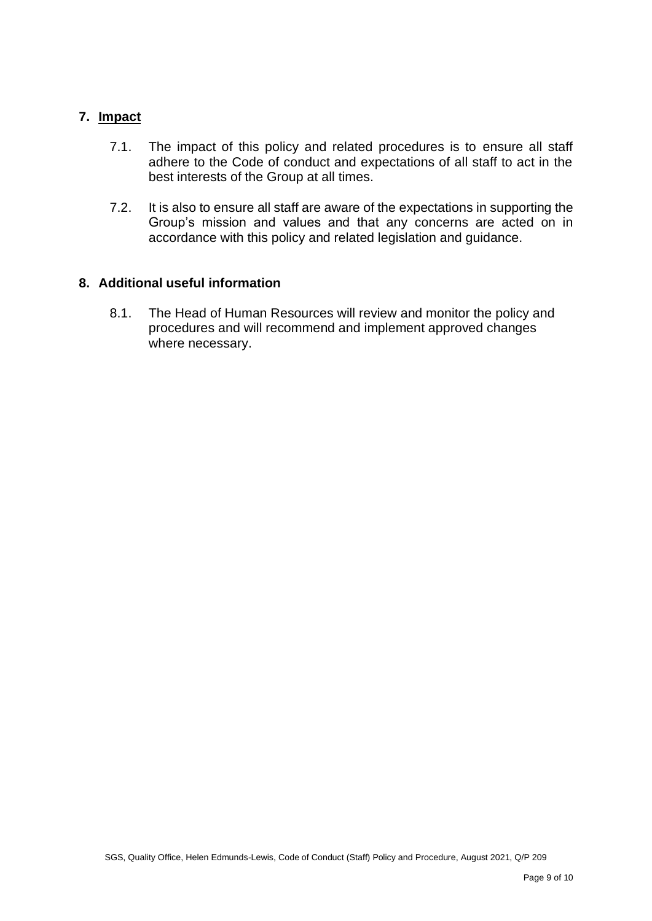## **7. Impact**

- 7.1. The impact of this policy and related procedures is to ensure all staff adhere to the Code of conduct and expectations of all staff to act in the best interests of the Group at all times.
- 7.2. It is also to ensure all staff are aware of the expectations in supporting the Group's mission and values and that any concerns are acted on in accordance with this policy and related legislation and guidance.

## **8. Additional useful information**

8.1. The Head of Human Resources will review and monitor the policy and procedures and will recommend and implement approved changes where necessary.